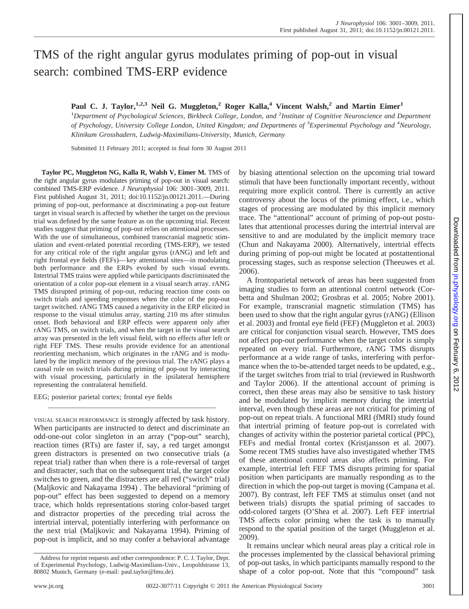# TMS of the right angular gyrus modulates priming of pop-out in visual search: combined TMS-ERP evidence

## **Paul C. J. Taylor,1,2,3 Neil G. Muggleton,<sup>2</sup> Roger Kalla,<sup>4</sup> Vincent Walsh,<sup>2</sup> and Martin Eimer<sup>1</sup>**

<sup>1</sup>Department of Psychological Sciences, Birkbeck College, London, and <sup>2</sup>Institute of Cognitive Neuroscience and Department *of Psychology, University College London, United Kingdom; and Departments of* <sup>3</sup> *Experimental Psychology and* <sup>4</sup> *Neurology, Klinikum Grosshadern, Ludwig-Maximilians-University, Munich, Germany*

Submitted 11 February 2011; accepted in final form 30 August 2011

**Taylor PC, Muggleton NG, Kalla R, Walsh V, Eimer M.** TMS of the right angular gyrus modulates priming of pop-out in visual search: combined TMS-ERP evidence. *J Neurophysiol* 106: 3001–3009, 2011. First published August 31, 2011; doi:10.1152/jn.00121.2011.—During priming of pop-out, performance at discriminating a pop-out feature target in visual search is affected by whether the target on the previous trial was defined by the same feature as on the upcoming trial. Recent studies suggest that priming of pop-out relies on attentional processes. With the use of simultaneous, combined transcranial magnetic stimulation and event-related potential recording (TMS-ERP), we tested for any critical role of the right angular gyrus (rANG) and left and right frontal eye fields (FEFs)— key attentional sites—in modulating both performance and the ERPs evoked by such visual events. Intertrial TMS trains were applied while participants discriminated the orientation of a color pop-out element in a visual search array. rANG TMS disrupted priming of pop-out, reducing reaction time costs on switch trials and speeding responses when the color of the pop-out target switched. rANG TMS caused a negativity in the ERP elicited in response to the visual stimulus array, starting 210 ms after stimulus onset. Both behavioral and ERP effects were apparent only after rANG TMS, on switch trials, and when the target in the visual search array was presented in the left visual field, with no effects after left or right FEF TMS. These results provide evidence for an attentional reorienting mechanism, which originates in the rANG and is modulated by the implicit memory of the previous trial. The rANG plays a causal role on switch trials during priming of pop-out by interacting with visual processing, particularly in the ipsilateral hemisphere representing the contralateral hemifield.

EEG; posterior parietal cortex; frontal eye fields

VISUAL SEARCH PERFORMANCE is strongly affected by task history. When participants are instructed to detect and discriminate an odd-one-out color singleton in an array ("pop-out" search), reaction times (RTs) are faster if, say, a red target amongst green distractors is presented on two consecutive trials (a repeat trial) rather than when there is a role-reversal of target and distracter, such that on the subsequent trial, the target color switches to green, and the distracters are all red ("switch" trial) (Maljkovic and Nakayama 1994) . The behavioral "priming of pop-out" effect has been suggested to depend on a memory trace, which holds representations storing color-based target and distractor properties of the preceding trial across the intertrial interval, potentially interfering with performance on the next trial (Maljkovic and Nakayama 1994). Priming of pop-out is implicit, and so may confer a behavioral advantage

by biasing attentional selection on the upcoming trial toward stimuli that have been functionally important recently, without requiring more explicit control. There is currently an active controversy about the locus of the priming effect, i.e., which stages of processing are modulated by this implicit memory trace. The "attentional" account of priming of pop-out postulates that attentional processes during the intertrial interval are sensitive to and are modulated by the implicit memory trace (Chun and Nakayama 2000). Alternatively, intertrial effects during priming of pop-out might be located at postattentional processing stages, such as response selection (Theeuwes et al. 2006).

A frontoparietal network of areas has been suggested from imaging studies to form an attentional control network (Corbetta and Shulman 2002; Grosbras et al. 2005; Nobre 2001). For example, transcranial magnetic stimulation (TMS) has been used to show that the right angular gyrus (rANG) (Ellison et al. 2003) and frontal eye field (FEF) (Muggleton et al. 2003) are critical for conjunction visual search. However, TMS does not affect pop-out performance when the target color is simply repeated on every trial. Furthermore, rANG TMS disrupts performance at a wide range of tasks, interfering with performance when the to-be-attended target needs to be updated, e.g., if the target switches from trial to trial (reviewed in Rushworth and Taylor 2006). If the attentional account of priming is correct, then these areas may also be sensitive to task history and be modulated by implicit memory during the intertrial interval, even though these areas are not critical for priming of pop-out on repeat trials. A functional MRI (fMRI) study found that intertrial priming of feature pop-out is correlated with changes of activity within the posterior parietal cortical (PPC), FEFs and medial frontal cortex (Kristjansson et al. 2007). Some recent TMS studies have also investigated whether TMS of these attentional control areas also affects priming. For example, intertrial left FEF TMS disrupts priming for spatial position when participants are manually responding as to the direction in which the pop-out target is moving (Campana et al. 2007). By contrast, left FEF TMS at stimulus onset (and not between trials) disrupts the spatial priming of saccades to odd-colored targets (O'Shea et al. 2007). Left FEF intertrial TMS affects color priming when the task is to manually respond to the spatial position of the target (Muggleton et al. 2009).

It remains unclear which neural areas play a critical role in the processes implemented by the classical behavioral priming of pop-out tasks, in which participants manually respond to the shape of a color pop-out. Note that this "compound" task

Address for reprint requests and other correspondence: P. C. J. Taylor, Dept. of Experimental Psychology, Ludwig-Maximilians-Univ., Leopoldstrasse 13, 80802 Munich, Germany (e-mail: paul.taylor@lmu.de).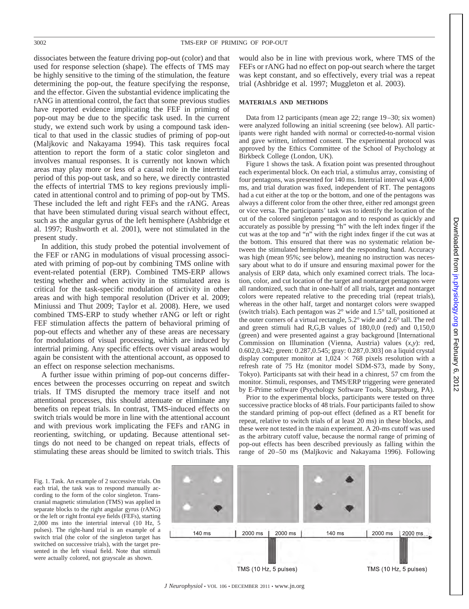dissociates between the feature driving pop-out (color) and that used for response selection (shape). The effects of TMS may be highly sensitive to the timing of the stimulation, the feature determining the pop-out, the feature specifying the response, and the effector. Given the substantial evidence implicating the rANG in attentional control, the fact that some previous studies have reported evidence implicating the FEF in priming of pop-out may be due to the specific task used. In the current study, we extend such work by using a compound task identical to that used in the classic studies of priming of pop-out (Maljkovic and Nakayama 1994). This task requires focal attention to report the form of a static color singleton and involves manual responses. It is currently not known which areas may play more or less of a causal role in the intertrial period of this pop-out task, and so here, we directly contrasted the effects of intertrial TMS to key regions previously implicated in attentional control and to priming of pop-out by TMS. These included the left and right FEFs and the rANG. Areas that have been stimulated during visual search without effect, such as the angular gyrus of the left hemisphere (Ashbridge et al. 1997; Rushworth et al. 2001), were not stimulated in the present study.

In addition, this study probed the potential involvement of the FEF or rANG in modulations of visual processing associated with priming of pop-out by combining TMS online with event-related potential (ERP). Combined TMS-ERP allows testing whether and when activity in the stimulated area is critical for the task-specific modulation of activity in other areas and with high temporal resolution (Driver et al. 2009; Miniussi and Thut 2009; Taylor et al. 2008). Here, we used combined TMS-ERP to study whether rANG or left or right FEF stimulation affects the pattern of behavioral priming of pop-out effects and whether any of these areas are necessary for modulations of visual processing, which are induced by intertrial priming. Any specific effects over visual areas would again be consistent with the attentional account, as opposed to an effect on response selection mechanisms.

A further issue within priming of pop-out concerns differences between the processes occurring on repeat and switch trials. If TMS disrupted the memory trace itself and not attentional processes, this should attenuate or eliminate any benefits on repeat trials. In contrast, TMS-induced effects on switch trials would be more in line with the attentional account and with previous work implicating the FEFs and rANG in reorienting, switching, or updating. Because attentional settings do not need to be changed on repeat trials, effects of stimulating these areas should be limited to switch trials. This

would also be in line with previous work, where TMS of the FEFs or rANG had no effect on pop-out search where the target was kept constant, and so effectively, every trial was a repeat trial (Ashbridge et al. 1997; Muggleton et al. 2003).

## **MATERIALS AND METHODS**

Data from 12 participants (mean age 22; range 19 –30; six women) were analyzed following an initial screening (see below). All participants were right handed with normal or corrected-to-normal vision and gave written, informed consent. The experimental protocol was approved by the Ethics Committee of the School of Psychology at Birkbeck College (London, UK).

Figure 1 shows the task. A fixation point was presented throughout each experimental block. On each trial, a stimulus array, consisting of four pentagons, was presented for 140 ms. Intertrial interval was 4,000 ms, and trial duration was fixed, independent of RT. The pentagons had a cut either at the top or the bottom, and one of the pentagons was always a different color from the other three, either red amongst green or vice versa. The participants' task was to identify the location of the cut of the colored singleton pentagon and to respond as quickly and accurately as possible by pressing "h" with the left index finger if the cut was at the top and "n" with the right index finger if the cut was at the bottom. This ensured that there was no systematic relation between the stimulated hemisphere and the responding hand. Accuracy was high (mean 95%; see below), meaning no instruction was necessary about what to do if unsure and ensuring maximal power for the analysis of ERP data, which only examined correct trials. The location, color, and cut location of the target and nontarget pentagons were all randomized, such that in one-half of all trials, target and nontarget colors were repeated relative to the preceding trial (repeat trials), whereas in the other half, target and nontarget colors were swapped (switch trials). Each pentagon was 2° wide and 1.5° tall, positioned at the outer corners of a virtual rectangle, 5.2° wide and 2.6° tall. The red and green stimuli had R,G,B values of 180,0,0 (red) and 0,150,0 (green) and were presented against a gray background [International Commission on Illumination (Vienna, Austria) values (*x*,*y*): red, 0.602,0.342; green: 0.287,0.545; gray: 0.287,0.303] on a liquid crystal display computer monitor at  $1,024 \times 768$  pixels resolution with a refresh rate of 75 Hz (monitor model SDM-S73, made by Sony, Tokyo). Participants sat with their head in a chinrest, 57 cm from the monitor. Stimuli, responses, and TMS/ERP triggering were generated by E-Prime software (Psychology Software Tools, Sharpsburg, PA).

Prior to the experimental blocks, participants were tested on three successive practice blocks of 48 trials. Four participants failed to show the standard priming of pop-out effect (defined as a RT benefit for repeat, relative to switch trials of at least 20 ms) in these blocks, and these were not tested in the main experiment. A 20-ms cutoff was used as the arbitrary cutoff value, because the normal range of priming of pop-out effects has been described previously as falling within the range of 20-50 ms (Maljkovic and Nakayama 1996). Following

Fig. 1. Task. An example of 2 successive trials. On each trial, the task was to respond manually according to the form of the color singleton. Transcranial magnetic stimulation (TMS) was applied in separate blocks to the right angular gyrus (rANG) or the left or right frontal eye fields (FEFs), starting 2,000 ms into the intertrial interval (10 Hz, 5 pulses). The right-hand trial is an example of a switch trial (the color of the singleton target has switched on successive trials), with the target presented in the left visual field. Note that stimuli were actually colored, not grayscale as shown.



201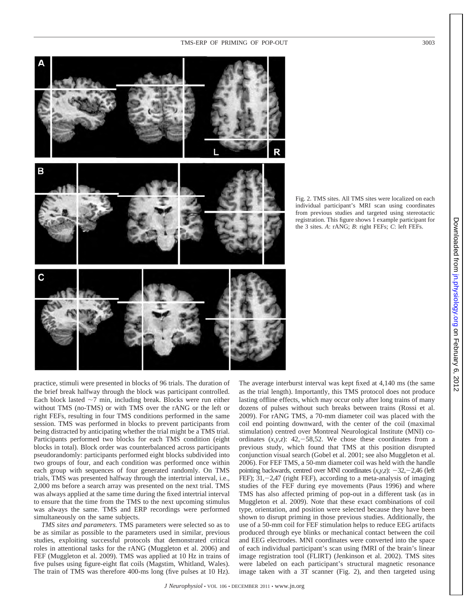## TMS-ERP OF PRIMING OF POP-OUT 3003



Fig. 2. TMS sites. All TMS sites were localized on each individual participant's MRI scan using coordinates from previous studies and targeted using stereotactic registration. This figure shows 1 example participant for the 3 sites. *A*: rANG; *B*: right FEFs; *C*: left FEFs.

practice, stimuli were presented in blocks of 96 trials. The duration of the brief break halfway through the block was participant controlled. Each block lasted  $\sim$ 7 min, including break. Blocks were run either without TMS (no-TMS) or with TMS over the rANG or the left or right FEFs, resulting in four TMS conditions performed in the same session. TMS was performed in blocks to prevent participants from being distracted by anticipating whether the trial might be a TMS trial. Participants performed two blocks for each TMS condition (eight blocks in total). Block order was counterbalanced across participants pseudorandomly: participants performed eight blocks subdivided into two groups of four, and each condition was performed once within each group with sequences of four generated randomly. On TMS trials, TMS was presented halfway through the intertrial interval, i.e., 2,000 ms before a search array was presented on the next trial. TMS was always applied at the same time during the fixed intertrial interval to ensure that the time from the TMS to the next upcoming stimulus was always the same. TMS and ERP recordings were performed simultaneously on the same subjects.

*TMS sites and parameters.* TMS parameters were selected so as to be as similar as possible to the parameters used in similar, previous studies, exploiting successful protocols that demonstrated critical roles in attentional tasks for the rANG (Muggleton et al. 2006) and FEF (Muggleton et al. 2009). TMS was applied at 10 Hz in trains of five pulses using figure-eight flat coils (Magstim, Whitland, Wales). The train of TMS was therefore 400-ms long (five pulses at 10 Hz).

The average interburst interval was kept fixed at 4,140 ms (the same as the trial length). Importantly, this TMS protocol does not produce lasting offline effects, which may occur only after long trains of many dozens of pulses without such breaks between trains (Rossi et al. 2009). For rANG TMS, a 70-mm diameter coil was placed with the coil end pointing downward, with the center of the coil (maximal stimulation) centred over Montreal Neurological Institute (MNI) coordinates  $(x, y, z)$ : 42, -58,52. We chose these coordinates from a previous study, which found that TMS at this position disrupted conjunction visual search (Gobel et al. 2001; see also Muggleton et al. 2006). For FEF TMS, a 50-mm diameter coil was held with the handle pointing backwards, centred over MNI coordinates  $(x, y, z)$ :  $-32, -2,46$  (left FEF);  $31, -2,47$  (right FEF), according to a meta-analysis of imaging studies of the FEF during eye movements (Paus 1996) and where TMS has also affected priming of pop-out in a different task (as in Muggleton et al. 2009). Note that these exact combinations of coil type, orientation, and position were selected because they have been shown to disrupt priming in those previous studies. Additionally, the use of a 50-mm coil for FEF stimulation helps to reduce EEG artifacts produced through eye blinks or mechanical contact between the coil and EEG electrodes. MNI coordinates were converted into the space of each individual participant's scan using fMRI of the brain's linear image registration tool (FLIRT) (Jenkinson et al. 2002). TMS sites were labeled on each participant's structural magnetic resonance image taken with a 3T scanner (Fig. 2), and then targeted using Downloaded from in physiology.org on February 6, Downloaded from [jn.physiology.org](http://jn.physiology.org/) on February 6, 2012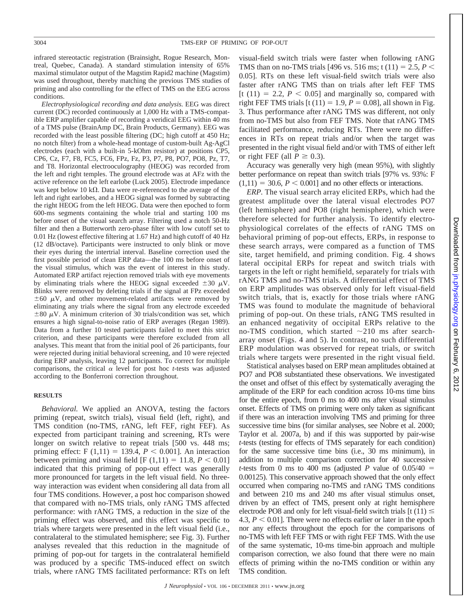infrared stereotactic registration (Brainsight, Rogue Research, Montreal, Quebec, Canada). A standard stimulation intensity of 65% maximal stimulator output of the Magstim Rapid2 machine (Magstim) was used throughout, thereby matching the previous TMS studies of priming and also controlling for the effect of TMS on the EEG across conditions.

*Electrophysiological recording and data analysis.* EEG was direct current (DC) recorded continuously at 1,000 Hz with a TMS-compatible ERP amplifier capable of recording a veridical EEG within 40 ms of a TMS pulse (BrainAmp DC, Brain Products, Germany). EEG was recorded with the least possible filtering (DC; high cutoff at 450 Hz; no notch filter) from a whole-head montage of custom-built Ag-AgCl electrodes (each with a built-in 5-kOhm resistor) at positions CP5, CP6, Cz, F7, F8, FC5, FC6, FPz, Fz, P3, P7, P8, PO7, PO8, Pz, T7, and T8. Horizontal electrooculography (HEOG) was recorded from the left and right temples. The ground electrode was at AFz with the active reference on the left earlobe (Luck 2005). Electrode impedance was kept below 10 k $\Omega$ . Data were re-referenced to the average of the left and right earlobes, and a HEOG signal was formed by subtracting the right HEOG from the left HEOG. Data were then epoched to form 600-ms segments containing the whole trial and starting 100 ms before onset of the visual search array. Filtering used a notch 50-Hz filter and then a Butterworth zero-phase filter with low cutoff set to 0.01 Hz (lowest effective filtering at 1.67 Hz) and high cutoff of 40 Hz (12 dB/octave). Participants were instructed to only blink or move their eyes during the intertrial interval. Baseline correction used the first possible period of clean ERP data—the 100 ms before onset of the visual stimulus, which was the event of interest in this study. Automated ERP artifact rejection removed trials with eye movements by eliminating trials where the HEOG signal exceeded  $\pm 30 \mu V$ . Blinks were removed by deleting trials if the signal at FPz exceeded  $\pm 60$   $\mu$ V, and other movement-related artifacts were removed by eliminating any trials where the signal from any electrode exceeded  $\pm 80 \mu V$ . A minimum criterion of 30 trials/condition was set, which ensures a high signal-to-noise ratio of ERP averages (Regan 1989). Data from a further 10 tested participants failed to meet this strict criterion, and these participants were therefore excluded from all analyses. This meant that from the initial pool of 26 participants, four were rejected during initial behavioral screening, and 10 were rejected during ERP analysis, leaving 12 participants. To correct for multiple comparisons, the critical  $\alpha$  level for post hoc *t*-tests was adjusted according to the Bonferroni correction throughout.

### **RESULTS**

*Behavioral.* We applied an ANOVA, testing the factors priming (repeat, switch trials), visual field (left, right), and TMS condition (no-TMS, rANG, left FEF, right FEF). As expected from participant training and screening, RTs were longer on switch relative to repeat trials [500 vs. 448 ms; priming effect: F  $(1,11) = 139.4, P < 0.001$ ]. An interaction between priming and visual field  $[F(1,11) = 11.8, P < 0.01]$ indicated that this priming of pop-out effect was generally more pronounced for targets in the left visual field. No threeway interaction was evident when considering all data from all four TMS conditions. However, a post hoc comparison showed that compared with no-TMS trials, only rANG TMS affected performance: with rANG TMS, a reduction in the size of the priming effect was observed, and this effect was specific to trials where targets were presented in the left visual field (i.e., contralateral to the stimulated hemisphere; see Fig. 3). Further analyses revealed that this reduction in the magnitude of priming of pop-out for targets in the contralateral hemifield was produced by a specific TMS-induced effect on switch trials, where rANG TMS facilitated performance: RTs on left

visual-field switch trials were faster when following rANG TMS than on no-TMS trials [496 vs. 516 ms; t (11) = 2.5,  $P \le$ 0.05]. RTs on these left visual-field switch trials were also faster after rANG TMS than on trials after left FEF TMS [t (11)  $= 2.2$ ,  $P < 0.05$ ] and marginally so, compared with right FEF TMS trials  $[t(11) = 1.9, P = 0.08]$ , all shown in Fig. 3. Thus performance after rANG TMS was different, not only from no-TMS but also from FEF TMS. Note that rANG TMS facilitated performance, reducing RTs. There were no differences in RTs on repeat trials and/or when the target was presented in the right visual field and/or with TMS of either left or right FEF (all  $P \ge 0.3$ ).

Accuracy was generally very high (mean 95%), with slightly better performance on repeat than switch trials [97% vs. 93%: F  $(1,11) = 30.6, P < 0.001$  and no other effects or interactions.

*ERP.* The visual search array elicited ERPs, which had the greatest amplitude over the lateral visual electrodes PO7 (left hemisphere) and PO8 (right hemisphere), which were therefore selected for further analysis. To identify electrophysiological correlates of the effects of rANG TMS on behavioral priming of pop-out effects, ERPs, in response to these search arrays, were compared as a function of TMS site, target hemifield, and priming condition. Fig. 4 shows lateral occipital ERPs for repeat and switch trials with targets in the left or right hemifield, separately for trials with rANG TMS and no-TMS trials. A differential effect of TMS on ERP amplitudes was observed only for left visual-field switch trials, that is, exactly for those trials where rANG TMS was found to modulate the magnitude of behavioral priming of pop-out. On these trials, rANG TMS resulted in an enhanced negativity of occipital ERPs relative to the no-TMS condition, which started  $\sim$ 210 ms after searcharray onset (Figs. 4 and 5). In contrast, no such differential ERP modulation was observed for repeat trials, or switch trials where targets were presented in the right visual field.

Statistical analyses based on ERP mean amplitudes obtained at PO7 and PO8 substantiated these observations. We investigated the onset and offset of this effect by systematically averaging the amplitude of the ERP for each condition across 10-ms time bins for the entire epoch, from 0 ms to 400 ms after visual stimulus onset. Effects of TMS on priming were only taken as significant if there was an interaction involving TMS and priming for three successive time bins (for similar analyses, see Nobre et al. 2000; Taylor et al. 2007a, b) and if this was supported by pair-wise *t*-tests (testing for effects of TMS separately for each condition) for the same successive time bins (i.e., 30 ms minimum), in addition to multiple comparison correction for 40 successive *t*-tests from 0 ms to 400 ms (adjusted *P* value of  $0.05/40 =$ 0.00125). This conservative approach showed that the only effect occurred when comparing no-TMS and rANG TMS conditions and between 210 ms and 240 ms after visual stimulus onset, driven by an effect of TMS, present only at right hemisphere electrode PO8 and only for left visual-field switch trials [t  $(11) \le$ 4.3,  $P \le 0.01$ ]. There were no effects earlier or later in the epoch nor any effects throughout the epoch for the comparisons of no-TMS with left FEF TMS or with right FEF TMS. With the use of the same systematic, 10-ms time-bin approach and multiple comparison correction, we also found that there were no main effects of priming within the no-TMS condition or within any TMS condition.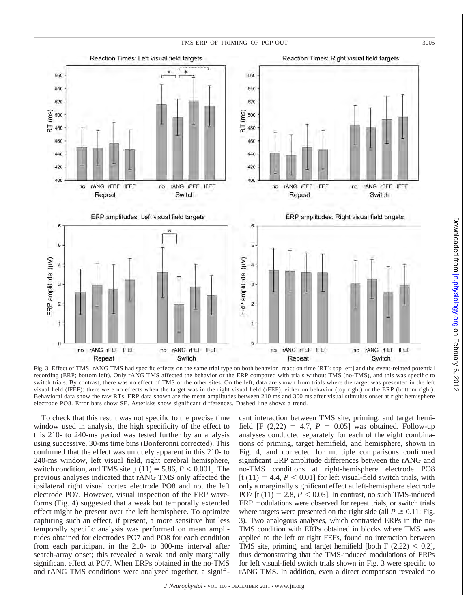

Fig. 3. Effect of TMS. rANG TMS had specific effects on the same trial type on both behavior [reaction time (RT); top left] and the event-related potential recording (ERP; bottom left). Only rANG TMS affected the behavior or the ERP compared with trials without TMS (no-TMS), and this was specific to switch trials. By contrast, there was no effect of TMS of the other sites. On the left, data are shown from trials where the target was presented in the left visual field (lFEF): there were no effects when the target was in the right visual field (rFEF), either on behavior (top right) or the ERP (bottom right). Behavioral data show the raw RTs. ERP data shown are the mean amplitudes between 210 ms and 300 ms after visual stimulus onset at right hemisphere electrode PO8. Error bars show SE. Asterisks show significant differences. Dashed line shows a trend.

To check that this result was not specific to the precise time window used in analysis, the high specificity of the effect to this 210- to 240-ms period was tested further by an analysis using successive, 30-ms time bins (Bonferonni corrected). This confirmed that the effect was uniquely apparent in this 210- to 240-ms window, left visual field, right cerebral hemisphere, switch condition, and TMS site  $[t(11) = 5.86, P \le 0.001]$ . The previous analyses indicated that rANG TMS only affected the ipsilateral right visual cortex electrode PO8 and not the left electrode PO7. However, visual inspection of the ERP waveforms (Fig. 4) suggested that a weak but temporally extended effect might be present over the left hemisphere. To optimize capturing such an effect, if present, a more sensitive but less temporally specific analysis was performed on mean amplitudes obtained for electrodes PO7 and PO8 for each condition from each participant in the 210- to 300-ms interval after search-array onset; this revealed a weak and only marginally significant effect at PO7. When ERPs obtained in the no-TMS and rANG TMS conditions were analyzed together, a significant interaction between TMS site, priming, and target hemifield [F  $(2,22) = 4.7$ ,  $P = 0.05$ ] was obtained. Follow-up analyses conducted separately for each of the eight combinations of priming, target hemifield, and hemisphere, shown in Fig. 4, and corrected for multiple comparisons confirmed significant ERP amplitude differences between the rANG and no-TMS conditions at right-hemisphere electrode PO8 [t  $(11) = 4.4$ ,  $P < 0.01$ ] for left visual-field switch trials, with only a marginally significant effect at left-hemisphere electrode PO7 [t  $(11) = 2.8$ ,  $P < 0.05$ ]. In contrast, no such TMS-induced ERP modulations were observed for repeat trials, or switch trials where targets were presented on the right side (all  $P \ge 0.11$ ; Fig. 3). Two analogous analyses, which contrasted ERPs in the no-TMS condition with ERPs obtained in blocks where TMS was applied to the left or right FEFs, found no interaction between TMS site, priming, and target hemifield [both F  $(2,22) < 0.2$ ], thus demonstrating that the TMS-induced modulations of ERPs for left visual-field switch trials shown in Fig. 3 were specific to rANG TMS. In addition, even a direct comparison revealed no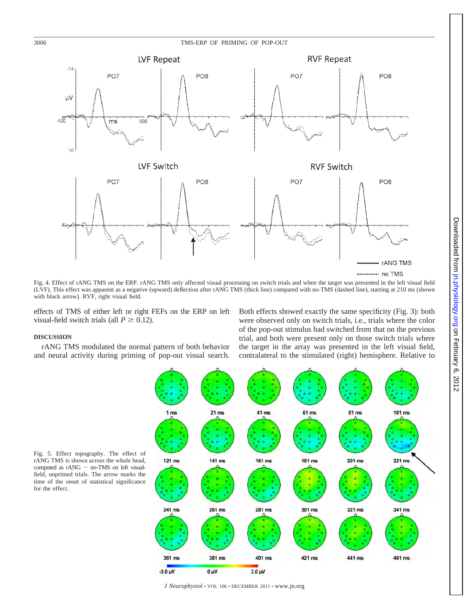

Fig. 4. Effect of rANG TMS on the ERP. rANG TMS only affected visual processing on switch trials and when the target was presented in the left visual field (LVF). This effect was apparent as a negative (upward) deflection after rANG TMS (thick line) compared with no-TMS (dashed line), starting at 210 ms (shown with black arrow). RVF, right visual field.

effects of TMS of either left or right FEFs on the ERP on left visual-field switch trials (all  $P \ge 0.12$ ).

## **DISCUSSION**

rANG TMS modulated the normal pattern of both behavior and neural activity during priming of pop-out visual search.

Both effects showed exactly the same specificity (Fig. 3): both were observed only on switch trials, i.e., trials where the color of the pop-out stimulus had switched from that on the previous trial, and both were present only on those switch trials where the target in the array was presented in the left visual field, contralateral to the stimulated (right) hemisphere. Relative to





*J Neurophysiol* • VOL 106 • DECEMBER 2011 • www.jn.org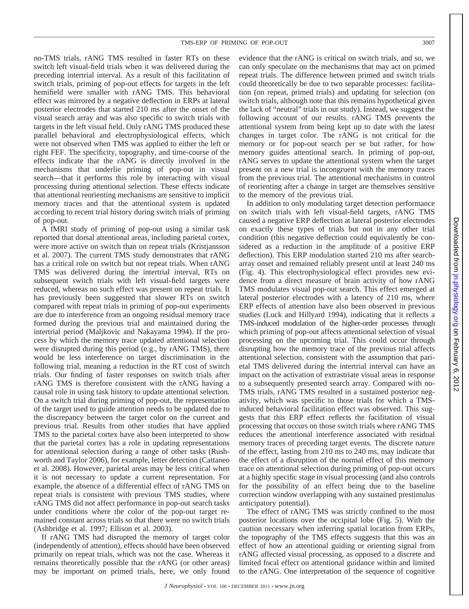no-TMS trials, rANG TMS resulted in faster RTs on these switch left visual-field trials when it was delivered during the preceding intertrial interval. As a result of this facilitation of switch trials, priming of pop-out effects for targets in the left hemifield were smaller with rANG TMS. This behavioral effect was mirrored by a negative deflection in ERPs at lateral posterior electrodes that started 210 ms after the onset of the visual search array and was also specific to switch trials with targets in the left visual field. Only rANG TMS produced these parallel behavioral and electrophysiological effects, which were not observed when TMS was applied to either the left or right FEF. The specificity, topography, and time-course of the effects indicate that the rANG is directly involved in the mechanisms that underlie priming of pop-out in visual search—that it performs this role by interacting with visual processing during attentional selection. These effects indicate that attentional reorienting mechanisms are sensitive to implicit memory traces and that the attentional system is updated according to recent trial history during switch trials of priming of pop-out.

A fMRI study of priming of pop-out using a similar task reported that dorsal attentional areas, including parietal cortex, were more active on switch than on repeat trials (Kristjansson et al. 2007). The current TMS study demonstrates that rANG has a critical role on switch but not repeat trials. When rANG TMS was delivered during the intertrial interval, RTs on subsequent switch trials with left visual-field targets were reduced, whereas no such effect was present on repeat trials. It has previously been suggested that slower RTs on switch compared with repeat trials in priming of pop-out experiments are due to interference from an ongoing residual memory trace formed during the previous trial and maintained during the intertrial period (Maljkovic and Nakayama 1994). If the process by which the memory trace updated attentional selection were disrupted during this period (e.g., by rANG TMS), there would be less interference on target discrimination in the following trial, meaning a reduction in the RT cost of switch trials. Our finding of faster responses on switch trials after rANG TMS is therefore consistent with the rANG having a causal role in using task history to update attentional selection. On a switch trial during priming of pop-out, the representation of the target used to guide attention needs to be updated due to the discrepancy between the target color on the current and previous trial. Results from other studies that have applied TMS to the parietal cortex have also been interpreted to show that the parietal cortex has a role in updating representations for attentional selection during a range of other tasks (Rushworth and Taylor 2006), for example, letter detection (Cattaneo et al. 2008). However, parietal areas may be less critical when it is not necessary to update a current representation. For example, the absence of a differential effect of rANG TMS on repeat trials is consistent with previous TMS studies, where rANG TMS did not affect performance in pop-out search tasks under conditions where the color of the pop-out target remained constant across trials so that there were no switch trials (Ashbridge et al. 1997; Ellison et al. 2003).

If rANG TMS had disrupted the memory of target color (independently of attention), effects should have been observed primarily on repeat trials, which was not the case. Whereas it remains theoretically possible that the rANG (or other areas) may be important on primed trials, here, we only found

evidence that the rANG is critical on switch trials, and so, we can only speculate on the mechanisms that may act on primed repeat trials. The difference between primed and switch trials could theoretically be due to two separable processes: facilitation (on repeat, primed trials) and updating for selection (on switch trials, although note that this remains hypothetical given the lack of "neutral" trials in our study). Instead, we suggest the following account of our results. rANG TMS prevents the attentional system from being kept up to date with the latest changes in target color. The rANG is not critical for the memory or for pop-out search per se but rather, for how memory guides attentional search. In priming of pop-out, rANG serves to update the attentional system when the target present on a new trial is incongruent with the memory traces from the previous trial. The attentional mechanisms in control of reorienting after a change in target are themselves sensitive to the memory of the previous trial.

In addition to only modulating target detection performance on switch trials with left visual-field targets, rANG TMS caused a negative ERP deflection at lateral posterior electrodes on exactly these types of trials but not in any other trial condition (this negative deflection could equivalently be considered as a reduction in the amplitude of a positive ERP deflection). This ERP modulation started 210 ms after searcharray onset and remained reliably present until at least 240 ms (Fig. 4). This electrophysiological effect provides new evidence from a direct measure of brain activity of how rANG TMS modulates visual pop-out search. This effect emerged at lateral posterior electrodes with a latency of 210 ms, where ERP effects of attention have also been observed in previous studies (Luck and Hillyard 1994), indicating that it reflects a TMS-induced modulation of the higher-order processes through which priming of pop-out affects attentional selection of visual processing on the upcoming trial. This could occur through disrupting how the memory trace of the previous trial affects attentional selection, consistent with the assumption that parietal TMS delivered during the intertrial interval can have an impact on the activation of extrastriate visual areas in response to a subsequently presented search array. Compared with no-TMS trials, rANG TMS resulted in a sustained posterior negativity, which was specific to those trials for which a TMSinduced behavioral facilitation effect was observed. This suggests that this ERP effect reflects the facilitation of visual processing that occurs on those switch trials where rANG TMS reduces the attentional interference associated with residual memory traces of preceding target events. The discrete nature of the effect, lasting from 210 ms to 240 ms, may indicate that the effect of a disruption of the normal effect of this memory trace on attentional selection during priming of pop-out occurs at a highly specific stage in visual processing (and also controls for the possibility of an effect being due to the baseline correction window overlapping with any sustained prestimulus anticipatory potential).

The effect of rANG TMS was strictly confined to the most posterior locations over the occipital lobe (Fig. 5). With the caution necessary when inferring spatial location from ERPs, the topography of the TMS effects suggests that this was an effect of how an attentional guiding or orienting signal from rANG affected visual processing, as opposed to a discrete and limited focal effect on attentional guidance within and limited to the rANG. One interpretation of the sequence of cognitive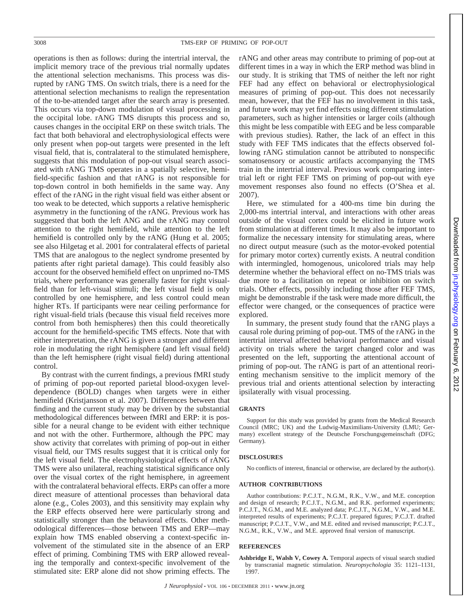operations is then as follows: during the intertrial interval, the implicit memory trace of the previous trial normally updates the attentional selection mechanisms. This process was disrupted by rANG TMS. On switch trials, there is a need for the attentional selection mechanisms to realign the representation of the to-be-attended target after the search array is presented. This occurs via top-down modulation of visual processing in the occipital lobe. rANG TMS disrupts this process and so, causes changes in the occipital ERP on these switch trials. The fact that both behavioral and electrophysiological effects were only present when pop-out targets were presented in the left visual field, that is, contralateral to the stimulated hemisphere, suggests that this modulation of pop-out visual search associated with rANG TMS operates in a spatially selective, hemifield-specific fashion and that rANG is not responsible for top-down control in both hemifields in the same way. Any effect of the rANG in the right visual field was either absent or too weak to be detected, which supports a relative hemispheric asymmetry in the functioning of the rANG. Previous work has suggested that both the left ANG and the rANG may control attention to the right hemifield, while attention to the left hemifield is controlled only by the rANG (Hung et al. 2005; see also Hilgetag et al. 2001 for contralateral effects of parietal TMS that are analogous to the neglect syndrome presented by patients after right parietal damage). This could feasibly also account for the observed hemifield effect on unprimed no-TMS trials, where performance was generally faster for right visualfield than for left-visual stimuli; the left visual field is only controlled by one hemisphere, and less control could mean higher RTs. If participants were near ceiling performance for right visual-field trials (because this visual field receives more control from both hemispheres) then this could theoretically account for the hemifield-specific TMS effects. Note that with either interpretation, the rANG is given a stronger and different role in modulating the right hemisphere (and left visual field) than the left hemisphere (right visual field) during attentional control.

By contrast with the current findings, a previous fMRI study of priming of pop-out reported parietal blood-oxygen leveldependence (BOLD) changes when targets were in either hemifield (Kristjansson et al. 2007). Differences between that finding and the current study may be driven by the substantial methodological differences between fMRI and ERP: it is possible for a neural change to be evident with either technique and not with the other. Furthermore, although the PPC may show activity that correlates with priming of pop-out in either visual field, our TMS results suggest that it is critical only for the left visual field. The electrophysiological effects of rANG TMS were also unilateral, reaching statistical significance only over the visual cortex of the right hemisphere, in agreement with the contralateral behavioral effects. ERPs can offer a more direct measure of attentional processes than behavioral data alone (e.g., Coles 2003), and this sensitivity may explain why the ERP effects observed here were particularly strong and statistically stronger than the behavioral effects. Other methodological differences—those between TMS and ERP—may explain how TMS enabled observing a context-specific involvement of the stimulated site in the absence of an ERP effect of priming. Combining TMS with ERP allowed revealing the temporally and context-specific involvement of the stimulated site: ERP alone did not show priming effects. The

rANG and other areas may contribute to priming of pop-out at different times in a way in which the ERP method was blind in our study. It is striking that TMS of neither the left nor right FEF had any effect on behavioral or electrophysiological measures of priming of pop-out. This does not necessarily mean, however, that the FEF has no involvement in this task, and future work may yet find effects using different stimulation parameters, such as higher intensities or larger coils (although this might be less compatible with EEG and be less comparable with previous studies). Rather, the lack of an effect in this study with FEF TMS indicates that the effects observed following rANG stimulation cannot be attributed to nonspecific somatosensory or acoustic artifacts accompanying the TMS train in the intertrial interval. Previous work comparing intertrial left or right FEF TMS on priming of pop-out with eye movement responses also found no effects (O'Shea et al. 2007).

Here, we stimulated for a 400-ms time bin during the 2,000-ms intertrial interval, and interactions with other areas outside of the visual cortex could be elicited in future work from stimulation at different times. It may also be important to formalize the necessary intensity for stimulating areas, where no direct output measure (such as the motor-evoked potential for primary motor cortex) currently exists. A neutral condition with intermingled, homogenous, unicolored trials may help determine whether the behavioral effect on no-TMS trials was due more to a facilitation on repeat or inhibition on switch trials. Other effects, possibly including those after FEF TMS, might be demonstrable if the task were made more difficult, the effector were changed, or the consequences of practice were explored.

In summary, the present study found that the rANG plays a causal role during priming of pop-out. TMS of the rANG in the intertrial interval affected behavioral performance and visual activity on trials where the target changed color and was presented on the left, supporting the attentional account of priming of pop-out. The rANG is part of an attentional reorienting mechanism sensitive to the implicit memory of the previous trial and orients attentional selection by interacting ipsilaterally with visual processing.

#### **GRANTS**

Support for this study was provided by grants from the Medical Research Council (MRC; UK) and the Ludwig-Maximilians-University (LMU; Germany) excellent strategy of the Deutsche Forschungsgemeinschaft (DFG; Germany).

#### **DISCLOSURES**

No conflicts of interest, financial or otherwise, are declared by the author(s).

#### **AUTHOR CONTRIBUTIONS**

Author contributions: P.C.J.T., N.G.M., R.K., V.W., and M.E. conception and design of research; P.C.J.T., N.G.M., and R.K. performed experiments; P.C.J.T., N.G.M., and M.E. analyzed data; P.C.J.T., N.G.M., V.W., and M.E. interpreted results of experiments; P.C.J.T. prepared figures; P.C.J.T. drafted manuscript; P.C.J.T., V.W., and M.E. edited and revised manuscript; P.C.J.T., N.G.M., R.K., V.W., and M.E. approved final version of manuscript.

#### **REFERENCES**

**Ashbridge E, Walsh V, Cowey A.** Temporal aspects of visual search studied by transcranial magnetic stimulation. *Neuropsychologia* 35: 1121–1131, 1997.